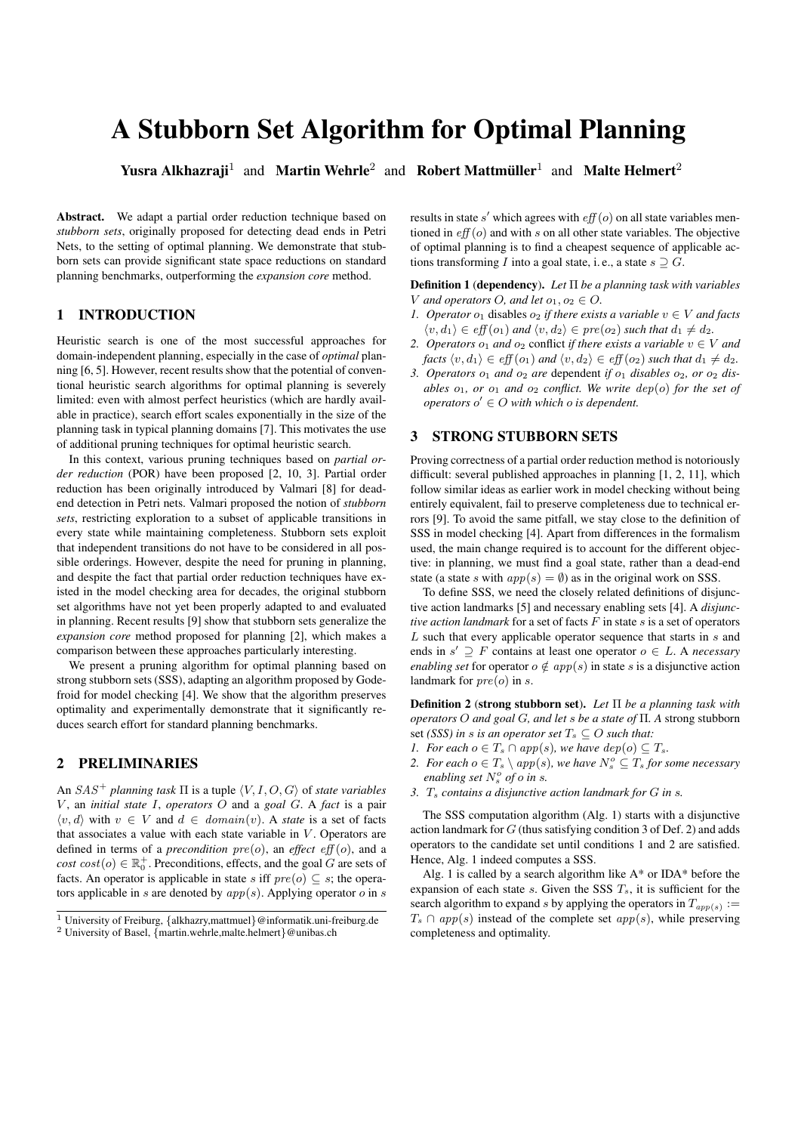# A Stubborn Set Algorithm for Optimal Planning

Yusra Alkhazraji<sup>1</sup> and Martin Wehrle<sup>2</sup> and Robert Mattmüller<sup>1</sup> and Malte Helmert<sup>2</sup>

Abstract. We adapt a partial order reduction technique based on *stubborn sets*, originally proposed for detecting dead ends in Petri Nets, to the setting of optimal planning. We demonstrate that stubborn sets can provide significant state space reductions on standard planning benchmarks, outperforming the *expansion core* method.

# 1 INTRODUCTION

Heuristic search is one of the most successful approaches for domain-independent planning, especially in the case of *optimal* planning [6, 5]. However, recent results show that the potential of conventional heuristic search algorithms for optimal planning is severely limited: even with almost perfect heuristics (which are hardly available in practice), search effort scales exponentially in the size of the planning task in typical planning domains [7]. This motivates the use of additional pruning techniques for optimal heuristic search.

In this context, various pruning techniques based on *partial order reduction* (POR) have been proposed [2, 10, 3]. Partial order reduction has been originally introduced by Valmari [8] for deadend detection in Petri nets. Valmari proposed the notion of *stubborn sets*, restricting exploration to a subset of applicable transitions in every state while maintaining completeness. Stubborn sets exploit that independent transitions do not have to be considered in all possible orderings. However, despite the need for pruning in planning, and despite the fact that partial order reduction techniques have existed in the model checking area for decades, the original stubborn set algorithms have not yet been properly adapted to and evaluated in planning. Recent results [9] show that stubborn sets generalize the *expansion core* method proposed for planning [2], which makes a comparison between these approaches particularly interesting.

We present a pruning algorithm for optimal planning based on strong stubborn sets (SSS), adapting an algorithm proposed by Godefroid for model checking [4]. We show that the algorithm preserves optimality and experimentally demonstrate that it significantly reduces search effort for standard planning benchmarks.

# 2 PRELIMINARIES

An  $SAS^+$  *planning task*  $\Pi$  is a tuple  $\langle V, I, O, G \rangle$  of *state variables* V , an *initial state* I, *operators* O and a *goal* G. A *fact* is a pair  $\langle v, d \rangle$  with  $v \in V$  and  $d \in domain(v)$ . A *state* is a set of facts that associates a value with each state variable in  $V$ . Operators are defined in terms of a *precondition*  $pre(o)$ , an *effect*  $eff(o)$ , and a  $cost\left(o\right) \in \mathbb{R}_{0}^{+}$ . Preconditions, effects, and the goal G are sets of facts. An operator is applicable in state s iff  $pre(o) \subseteq s$ ; the operators applicable in s are denoted by  $app(s)$ . Applying operator o in s

results in state s' which agrees with  $eff(o)$  on all state variables mentioned in  $eff$  ( $o$ ) and with s on all other state variables. The objective of optimal planning is to find a cheapest sequence of applicable actions transforming I into a goal state, i.e., a state  $s \supseteq G$ .

Definition 1 (dependency). *Let* Π *be a planning task with variables* V and operators O, and let  $o_1, o_2 \in O$ .

- *1. Operator*  $o_1$  disables  $o_2$  *if there exists a variable*  $v \in V$  *and facts*  $\langle v, d_1 \rangle \in \text{eff}(o_1)$  *and*  $\langle v, d_2 \rangle \in \text{pre}(o_2)$  *such that*  $d_1 \neq d_2$ *.*
- *2. Operators*  $o_1$  *and*  $o_2$  conflict *if there exists a variable*  $v \in V$  *and facts*  $\langle v, d_1 \rangle \in eff(o_1)$  *and*  $\langle v, d_2 \rangle \in eff(o_2)$  *such that*  $d_1 \neq d_2$ *.*
- 3. Operators  $o_1$  and  $o_2$  are dependent *if*  $o_1$  *disables*  $o_2$ *, or*  $o_2$  *disables*  $o_1$ *, or*  $o_1$  *and*  $o_2$  *conflict. We write*  $dep(o)$  *for the set of*  $\textit{operators}\ o' \in O$  with which  $o$  is dependent.

## 3 STRONG STUBBORN SETS

Proving correctness of a partial order reduction method is notoriously difficult: several published approaches in planning [1, 2, 11], which follow similar ideas as earlier work in model checking without being entirely equivalent, fail to preserve completeness due to technical errors [9]. To avoid the same pitfall, we stay close to the definition of SSS in model checking [4]. Apart from differences in the formalism used, the main change required is to account for the different objective: in planning, we must find a goal state, rather than a dead-end state (a state s with  $app(s) = \emptyset$ ) as in the original work on SSS.

To define SSS, we need the closely related definitions of disjunctive action landmarks [5] and necessary enabling sets [4]. A *disjunctive action landmark* for a set of facts  $F$  in state  $s$  is a set of operators L such that every applicable operator sequence that starts in s and ends in  $s' \supseteq F$  contains at least one operator  $o \in L$ . A *necessary enabling set* for operator  $o \notin app(s)$  in state s is a disjunctive action landmark for  $pre(o)$  in s.

Definition 2 (strong stubborn set). *Let* Π *be a planning task with operators* O *and goal* G*, and let* s *be a state of* Π*. A* strong stubborn set *(SSS) in s is an operator set*  $T_s \subseteq O$  *such that:* 

- *1. For each*  $o \in T_s \cap app(s)$ *, we have*  $dep(o) \subseteq T_s$ *.*
- 2. For each  $o \in T_s \setminus app(s)$ , we have  $N_s^o \subseteq T_s$  *for some necessary enabling set*  $N_s^o$  *of o in s*.
- *3.* T<sup>s</sup> *contains a disjunctive action landmark for* G *in* s*.*

The SSS computation algorithm (Alg. 1) starts with a disjunctive action landmark for  $G$  (thus satisfying condition 3 of Def. 2) and adds operators to the candidate set until conditions 1 and 2 are satisfied. Hence, Alg. 1 indeed computes a SSS.

Alg. 1 is called by a search algorithm like A\* or IDA\* before the expansion of each state  $s$ . Given the SSS  $T_s$ , it is sufficient for the search algorithm to expand s by applying the operators in  $T_{app(s)}$  :=  $T_s \cap app(s)$  instead of the complete set  $app(s)$ , while preserving completeness and optimality.

<sup>1</sup> University of Freiburg, {alkhazry,mattmuel}@informatik.uni-freiburg.de <sup>2</sup> University of Basel, {martin.wehrle,malte.helmert}@unibas.ch